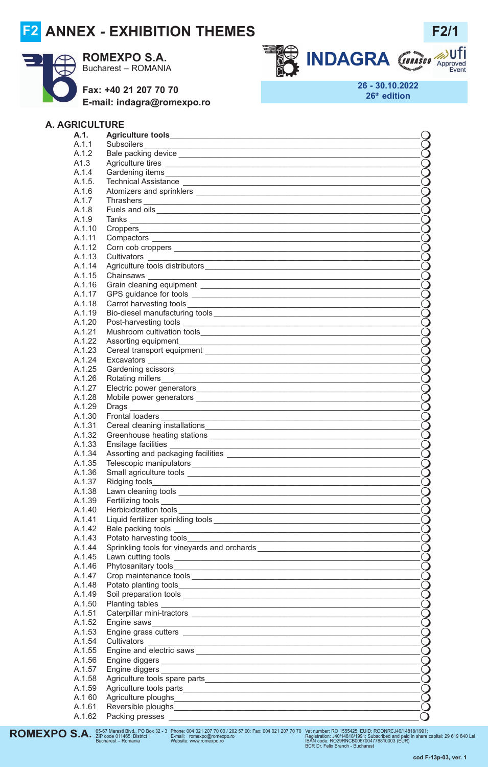### **F2 F2/1 ANNEX - EXHIBITION THEMES**



**ROMEXPO S.A.**

Bucharest – ROMANIA

**Fax: +40 21 207 70 70**





**26 - 30.10.2022 26 th edition**

| <b>A. AGRICULTURE</b> |                                                                                                                                                                                                                                      |                        |
|-----------------------|--------------------------------------------------------------------------------------------------------------------------------------------------------------------------------------------------------------------------------------|------------------------|
| A.1.                  |                                                                                                                                                                                                                                      |                        |
| A.1.1                 |                                                                                                                                                                                                                                      | $\bigcirc$             |
| A.1.2                 |                                                                                                                                                                                                                                      | $\bigcirc$             |
| A1.3                  |                                                                                                                                                                                                                                      | $\bigcirc$             |
| A.1.4                 |                                                                                                                                                                                                                                      | Ŏ                      |
| A.1.5.                | Technical Assistance                                                                                                                                                                                                                 | Ŏ                      |
| A.1.6                 |                                                                                                                                                                                                                                      | Ŏ                      |
| A.1.7                 |                                                                                                                                                                                                                                      | Ŏ                      |
| A.1.8                 |                                                                                                                                                                                                                                      | Ŏ                      |
| A.1.9                 |                                                                                                                                                                                                                                      | Š                      |
| A.1.10                |                                                                                                                                                                                                                                      |                        |
| A.1.11                |                                                                                                                                                                                                                                      | $\breve{\mathrm{S}}$   |
| A.1.12                |                                                                                                                                                                                                                                      |                        |
| A.1.13                |                                                                                                                                                                                                                                      | Ō                      |
| A.1.14                |                                                                                                                                                                                                                                      | $\bigcirc$             |
| A.1.15                |                                                                                                                                                                                                                                      | $\mathbf O$            |
| A.1.16<br>A.1.17      |                                                                                                                                                                                                                                      | Ŏ                      |
| A.1.18                | GPS guidance for tools <b>contained a container and container and container and container and container</b>                                                                                                                          | Ŏ<br>Ŏ                 |
| A.1.19                |                                                                                                                                                                                                                                      |                        |
| A.1.20                |                                                                                                                                                                                                                                      | Ŏ<br>Ŏ                 |
| A.1.21                |                                                                                                                                                                                                                                      | Ŏ                      |
| A.1.22                |                                                                                                                                                                                                                                      |                        |
| A.1.23                |                                                                                                                                                                                                                                      | $\bar{\Theta}$         |
| A.1.24                |                                                                                                                                                                                                                                      | Ŏ                      |
| A.1.25                |                                                                                                                                                                                                                                      | $\bigcirc$             |
| A.1.26                |                                                                                                                                                                                                                                      | $\bigcirc$             |
| A.1.27                |                                                                                                                                                                                                                                      | Ŏ                      |
| A.1.28                |                                                                                                                                                                                                                                      |                        |
| A.1.29                |                                                                                                                                                                                                                                      | $\bar{\Theta}$         |
| A.1.30                | <b>Frontal loaders</b>                                                                                                                                                                                                               | Õ                      |
| A.1.31                |                                                                                                                                                                                                                                      | Ŏ                      |
| A.1.32                |                                                                                                                                                                                                                                      | $\mathbf O$            |
| A.1.33                | Ensilage facilities ____                                                                                                                                                                                                             |                        |
| A.1.34                |                                                                                                                                                                                                                                      | $\bigcirc$             |
| A.1.35                |                                                                                                                                                                                                                                      |                        |
| A.1.36                |                                                                                                                                                                                                                                      |                        |
| A.1.37                |                                                                                                                                                                                                                                      | <b>OOO</b>             |
| A.1.38                |                                                                                                                                                                                                                                      |                        |
| A.1.39                |                                                                                                                                                                                                                                      | $\rm \bar{\rm \cal O}$ |
| A.1.40                |                                                                                                                                                                                                                                      |                        |
| A.1.41                |                                                                                                                                                                                                                                      | Ŏ                      |
| A.1.42                |                                                                                                                                                                                                                                      | $\breve{\bigcirc}$     |
| A.1.43                |                                                                                                                                                                                                                                      | Õ                      |
| A.1.44                |                                                                                                                                                                                                                                      | Ō                      |
| A.1.45                |                                                                                                                                                                                                                                      | $\bar{O}$              |
| A.1.46                |                                                                                                                                                                                                                                      | Ŏ                      |
| A.1.47                | Crop maintenance tools <b>contained a contained a contact of the contact of the contact of the contact of the contact of the contact of the contact of the contact of the contact of the contact of the contact of the contact o</b> | <b>OOQ</b>             |
| A.1.48                |                                                                                                                                                                                                                                      |                        |
| A.1.49                |                                                                                                                                                                                                                                      |                        |
| A.1.50                |                                                                                                                                                                                                                                      | <b>OOO</b>             |
| A.1.51                | Caterpillar mini-tractors <b>expression of the control of the control of the control of the control of the control of the control of the control of the control of the control of the control of the control of the control of t</b> |                        |
| A.1.52                |                                                                                                                                                                                                                                      |                        |
| A.1.53                | Engine grass cutters <b>experience and the contract of the contract of the contract of the contract of the contract of the contract of the contract of the contract of the contract of the contract of the contract of the contr</b> | $\bigcirc$             |
| A.1.54                | Cultivators                                                                                                                                                                                                                          | $\breve{\mathrm{O}}$   |
| A.1.55                |                                                                                                                                                                                                                                      |                        |
| A.1.56<br>A.1.57      |                                                                                                                                                                                                                                      | $\bar{\mathrm{O}}$     |
| A.1.58                |                                                                                                                                                                                                                                      |                        |
| A.1.59                |                                                                                                                                                                                                                                      | $\rm \breve{Q}$        |
| A.1 60                | Agriculture tools parts                                                                                                                                                                                                              | Ŏ                      |
| A.1.61                |                                                                                                                                                                                                                                      | Ŏ                      |
| A.1.62                |                                                                                                                                                                                                                                      | $\Omega$               |
|                       |                                                                                                                                                                                                                                      |                        |



Phone: 004 021 207 70 00 / 202 57 00: Fax: 004 021 207 70 70 E-mail: romexpo@romexpo.ro Website: www.romexpo.ro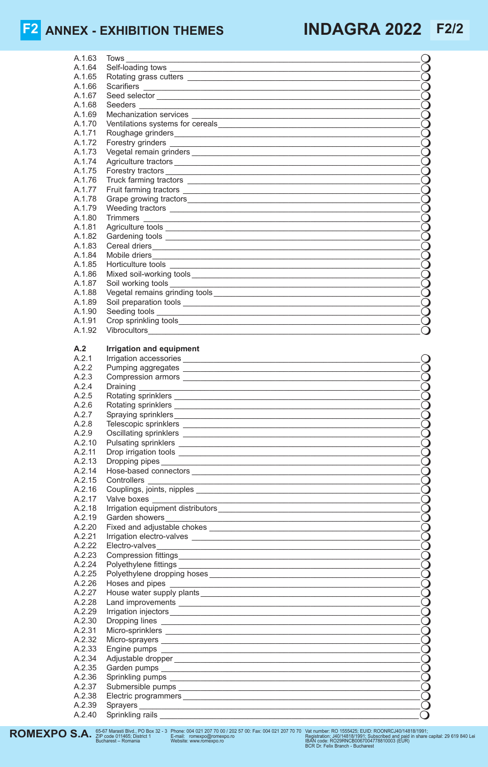| A.1.63 | Tows                                                                                                                                                                                                                                 |            |
|--------|--------------------------------------------------------------------------------------------------------------------------------------------------------------------------------------------------------------------------------------|------------|
| A.1.64 |                                                                                                                                                                                                                                      |            |
| A.1.65 |                                                                                                                                                                                                                                      |            |
| A.1.66 |                                                                                                                                                                                                                                      |            |
|        |                                                                                                                                                                                                                                      |            |
| A.1.67 |                                                                                                                                                                                                                                      |            |
| A.1.68 | Seeders<br><u> 1989 - Andrea Albert III, martin a bh</u>                                                                                                                                                                             |            |
| A.1.69 |                                                                                                                                                                                                                                      |            |
| A.1.70 |                                                                                                                                                                                                                                      | $\bigcirc$ |
| A.1.71 | Roughage grinders experience and the contract of the contract of the contract of the contract of the contract of                                                                                                                     | $\bigcirc$ |
| A.1.72 |                                                                                                                                                                                                                                      |            |
|        |                                                                                                                                                                                                                                      |            |
| A.1.73 |                                                                                                                                                                                                                                      | $\bigcirc$ |
| A.1.74 |                                                                                                                                                                                                                                      |            |
| A.1.75 | Forestry tractors <b>substantial control of the set of the set of the set of the set of the set of the set of the set of the set of the set of the set of the set of the set of the set of the set of the set of the set of the </b> |            |
| A.1.76 |                                                                                                                                                                                                                                      | $\bigcirc$ |
| A.1.77 |                                                                                                                                                                                                                                      |            |
| A.1.78 |                                                                                                                                                                                                                                      |            |
|        |                                                                                                                                                                                                                                      |            |
| A.1.79 |                                                                                                                                                                                                                                      |            |
| A.1.80 |                                                                                                                                                                                                                                      |            |
| A.1.81 |                                                                                                                                                                                                                                      | $\bigcirc$ |
| A.1.82 |                                                                                                                                                                                                                                      | $\bigcirc$ |
| A.1.83 |                                                                                                                                                                                                                                      |            |
| A.1.84 | Mobile driers                                                                                                                                                                                                                        | $\bigcirc$ |
|        |                                                                                                                                                                                                                                      |            |
| A.1.85 |                                                                                                                                                                                                                                      | $\bigcirc$ |
| A.1.86 |                                                                                                                                                                                                                                      |            |
| A.1.87 | Soil working tools ________<br><u> 1989 - Johann Stoff, amerikansk politiker (d. 1989)</u>                                                                                                                                           | $\bigcirc$ |
| A.1.88 |                                                                                                                                                                                                                                      | $\bigcirc$ |
| A.1.89 |                                                                                                                                                                                                                                      |            |
| A.1.90 |                                                                                                                                                                                                                                      |            |
|        |                                                                                                                                                                                                                                      |            |
| A.1.91 |                                                                                                                                                                                                                                      |            |
| A.1.92 | Vibrocultors <u>_______________________</u>                                                                                                                                                                                          |            |
|        |                                                                                                                                                                                                                                      |            |
| A.2    | <b>Irrigation and equipment</b>                                                                                                                                                                                                      |            |
| A.2.1  | Irrigation accessories                                                                                                                                                                                                               |            |
|        |                                                                                                                                                                                                                                      |            |
| A.2.2  | Pumping aggregates                                                                                                                                                                                                                   |            |
| A.2.3  |                                                                                                                                                                                                                                      |            |
| A.2.4  | Draining                                                                                                                                                                                                                             |            |
| A.2.5  |                                                                                                                                                                                                                                      |            |
| A.2.6  |                                                                                                                                                                                                                                      |            |
| A.2.7  |                                                                                                                                                                                                                                      | $\bigcirc$ |
|        |                                                                                                                                                                                                                                      |            |
| A.2.8  |                                                                                                                                                                                                                                      | $\bigcirc$ |
| A.2.9  |                                                                                                                                                                                                                                      | $\bigcirc$ |
| A.2.10 |                                                                                                                                                                                                                                      | $\bigcirc$ |
| A.2.11 |                                                                                                                                                                                                                                      |            |
| A.2.13 |                                                                                                                                                                                                                                      | $\bigcirc$ |
| A.2.14 |                                                                                                                                                                                                                                      | $\bigcirc$ |
| A.2.15 |                                                                                                                                                                                                                                      |            |
|        | <b>Controllers</b><br><u> 1989 - Johann Stoff, die staatskriuw fan de Amerikaansk kommunister († 1908)</u>                                                                                                                           | $\bigcap$  |
| A.2.16 |                                                                                                                                                                                                                                      | $\bigcirc$ |
| A.2.17 |                                                                                                                                                                                                                                      | $\bigcup$  |
| A.2.18 |                                                                                                                                                                                                                                      |            |
| A.2.19 |                                                                                                                                                                                                                                      | $\bigcirc$ |
| A.2.20 |                                                                                                                                                                                                                                      | $\bigcirc$ |
| A.2.21 |                                                                                                                                                                                                                                      |            |
|        |                                                                                                                                                                                                                                      | $\bigcirc$ |
| A.2.22 | Electro-valves                                                                                                                                                                                                                       | $\bigcirc$ |
| A.2.23 |                                                                                                                                                                                                                                      | $\bigcirc$ |
| A.2.24 |                                                                                                                                                                                                                                      |            |
| A.2.25 |                                                                                                                                                                                                                                      |            |
| A.2.26 |                                                                                                                                                                                                                                      |            |
| A.2.27 |                                                                                                                                                                                                                                      |            |
|        |                                                                                                                                                                                                                                      | $\bigcirc$ |
| A.2.28 |                                                                                                                                                                                                                                      | $\bigcirc$ |
| A.2.29 |                                                                                                                                                                                                                                      |            |
| A.2.30 |                                                                                                                                                                                                                                      | $\bigcirc$ |
| A.2.31 | Micro-sprinklers <b>Microsoft Community</b> and Community and Community and Community and Community and Community and Community and Community and Community and Community and Community and Community and Community and Community a  | $\bigcirc$ |
| A.2.32 |                                                                                                                                                                                                                                      |            |
|        |                                                                                                                                                                                                                                      |            |
| A.2.33 |                                                                                                                                                                                                                                      | $\bigcirc$ |
| A.2.34 |                                                                                                                                                                                                                                      |            |
| A.2.35 |                                                                                                                                                                                                                                      |            |
| A.2.36 |                                                                                                                                                                                                                                      |            |
| A.2.37 |                                                                                                                                                                                                                                      |            |
| A.2.38 | Electric programmers experience and the contract of the contract of the contract of the contract of the contract of the contract of the contract of the contract of the contract of the contract of the contract of the contra       |            |
|        |                                                                                                                                                                                                                                      |            |
| A.2.39 |                                                                                                                                                                                                                                      |            |
| A.2.40 | Sprinkling rails ___                                                                                                                                                                                                                 |            |

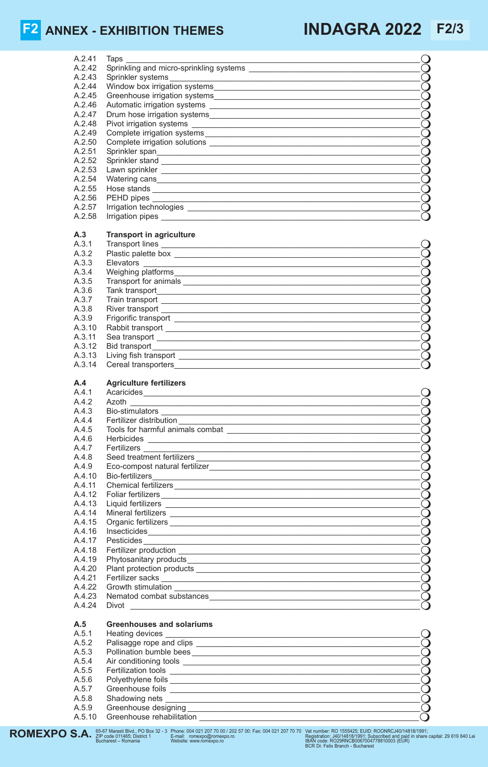| A.2.41          |                                                                                                                                                                                                                                      |  |
|-----------------|--------------------------------------------------------------------------------------------------------------------------------------------------------------------------------------------------------------------------------------|--|
|                 | Taps                                                                                                                                                                                                                                 |  |
|                 |                                                                                                                                                                                                                                      |  |
| A.2.42          |                                                                                                                                                                                                                                      |  |
| A.2.43          |                                                                                                                                                                                                                                      |  |
| A.2.44          | Window box irrigation systems                                                                                                                                                                                                        |  |
| A.2.45          |                                                                                                                                                                                                                                      |  |
| A.2.46          |                                                                                                                                                                                                                                      |  |
|                 |                                                                                                                                                                                                                                      |  |
| A.2.47          |                                                                                                                                                                                                                                      |  |
| A.2.48          |                                                                                                                                                                                                                                      |  |
| A.2.49          |                                                                                                                                                                                                                                      |  |
| A.2.50          |                                                                                                                                                                                                                                      |  |
|                 |                                                                                                                                                                                                                                      |  |
| A.2.51          |                                                                                                                                                                                                                                      |  |
| A.2.52          |                                                                                                                                                                                                                                      |  |
| A.2.53          |                                                                                                                                                                                                                                      |  |
| A.2.54          | Watering cans                                                                                                                                                                                                                        |  |
| A.2.55          |                                                                                                                                                                                                                                      |  |
|                 |                                                                                                                                                                                                                                      |  |
| A.2.56          |                                                                                                                                                                                                                                      |  |
| A.2.57          |                                                                                                                                                                                                                                      |  |
| A.2.58          |                                                                                                                                                                                                                                      |  |
|                 |                                                                                                                                                                                                                                      |  |
|                 |                                                                                                                                                                                                                                      |  |
| A.3             | <b>Transport in agriculture</b>                                                                                                                                                                                                      |  |
| A.3.1           |                                                                                                                                                                                                                                      |  |
| A.3.2           |                                                                                                                                                                                                                                      |  |
| A.3.3           | <b>Elevators</b>                                                                                                                                                                                                                     |  |
| A.3.4           |                                                                                                                                                                                                                                      |  |
|                 |                                                                                                                                                                                                                                      |  |
| A.3.5           |                                                                                                                                                                                                                                      |  |
| A.3.6           |                                                                                                                                                                                                                                      |  |
| A.3.7           |                                                                                                                                                                                                                                      |  |
| A.3.8           |                                                                                                                                                                                                                                      |  |
|                 |                                                                                                                                                                                                                                      |  |
| A.3.9           |                                                                                                                                                                                                                                      |  |
| A.3.10          |                                                                                                                                                                                                                                      |  |
| A.3.11          |                                                                                                                                                                                                                                      |  |
| A.3.12          | Bid transport                                                                                                                                                                                                                        |  |
| A.3.13          |                                                                                                                                                                                                                                      |  |
|                 | Living fish transport ________________________                                                                                                                                                                                       |  |
| A.3.14          | Cereal transporters                                                                                                                                                                                                                  |  |
|                 |                                                                                                                                                                                                                                      |  |
| A.4             | <b>Agriculture fertilizers</b>                                                                                                                                                                                                       |  |
|                 |                                                                                                                                                                                                                                      |  |
|                 |                                                                                                                                                                                                                                      |  |
| A.4.1           |                                                                                                                                                                                                                                      |  |
| A.4.2           |                                                                                                                                                                                                                                      |  |
| A.4.3           |                                                                                                                                                                                                                                      |  |
| A.4.4           |                                                                                                                                                                                                                                      |  |
|                 |                                                                                                                                                                                                                                      |  |
| A.4.5           | Tools for harmful animals combat                                                                                                                                                                                                     |  |
| A.4.6           |                                                                                                                                                                                                                                      |  |
| A.4.7           |                                                                                                                                                                                                                                      |  |
| A.4.8           |                                                                                                                                                                                                                                      |  |
|                 |                                                                                                                                                                                                                                      |  |
| A.4.9           |                                                                                                                                                                                                                                      |  |
| A.4.10          |                                                                                                                                                                                                                                      |  |
| A.4.11          |                                                                                                                                                                                                                                      |  |
| A.4.12          |                                                                                                                                                                                                                                      |  |
| A.4.13          |                                                                                                                                                                                                                                      |  |
| A.4.14          |                                                                                                                                                                                                                                      |  |
|                 |                                                                                                                                                                                                                                      |  |
| A.4.15          |                                                                                                                                                                                                                                      |  |
| A.4.16          |                                                                                                                                                                                                                                      |  |
| A.4.17          |                                                                                                                                                                                                                                      |  |
| A.4.18          |                                                                                                                                                                                                                                      |  |
|                 |                                                                                                                                                                                                                                      |  |
| A.4.19          |                                                                                                                                                                                                                                      |  |
| A.4.20          |                                                                                                                                                                                                                                      |  |
| A.4.21          |                                                                                                                                                                                                                                      |  |
| A.4.22          |                                                                                                                                                                                                                                      |  |
| A.4.23          |                                                                                                                                                                                                                                      |  |
|                 | Nematod combat substances                                                                                                                                                                                                            |  |
| A.4.24          |                                                                                                                                                                                                                                      |  |
|                 |                                                                                                                                                                                                                                      |  |
| A.5             | <b>Greenhouses and solariums</b>                                                                                                                                                                                                     |  |
| A.5.1           |                                                                                                                                                                                                                                      |  |
| A.5.2           | Heating devices <b>contract to the contract of the contract of the contract of the contract of the contract of the contract of the contract of the contract of the contract of the contract of the contract of the contract of t</b> |  |
|                 |                                                                                                                                                                                                                                      |  |
| A.5.3           |                                                                                                                                                                                                                                      |  |
| A.5.4           |                                                                                                                                                                                                                                      |  |
| A.5.5           |                                                                                                                                                                                                                                      |  |
| A.5.6           |                                                                                                                                                                                                                                      |  |
|                 |                                                                                                                                                                                                                                      |  |
| A.5.7           |                                                                                                                                                                                                                                      |  |
| A.5.8           | Shadowing nets<br><u> 1989 - Johann Stoff, deutscher Stoff, der Stoff, der Stoff, der Stoff, der Stoff, der Stoff, der Stoff, der S</u>                                                                                              |  |
| A.5.9<br>A.5.10 | Greenhouse rehabilitation                                                                                                                                                                                                            |  |

**ROMEXPO S.A.** *S*<sub>5-67</sub> Marasti Blvd., PO Box 32 - 3<br>Bucharest – Romania

Phone: 004 021 207 70 00 / 202 57 00: Fax: 004 021 207 70 70 E-mail: romexpo@romexpo.ro Website: www.romexpo.ro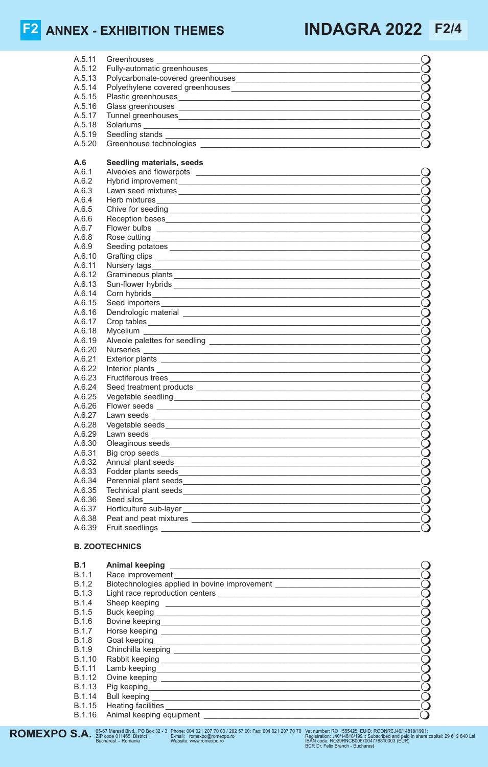$A.5.11$  Greenhouses  $\overline{\phantom{a}}$ A.5.12 Fully-automatic greenhouses  $\overline{\phantom{a}}$ A.5.12 Fully-automatic greenhouses<br>
A.5.13 Polycarbonate-covered greenhouses<br>
A.5.14 Polyethylene covered greenhouses<br>
A.5.15 Plastic greenhouses<br>
A.5.16 Glass greenhouses A.5.14 Polyethylene covered greenhouses <u>and a manual contract of the set of the set of the set of the set of the set of the set of the set of the set of the set of the set of the set of the set of the set of the set of th</u> A.5.15 Plastic greenhouses \_\_\_\_\_\_\_\_\_\_\_\_\_\_\_\_\_\_\_\_\_\_\_\_\_\_\_\_\_\_\_\_\_\_\_\_\_\_\_\_\_\_\_\_\_\_\_\_\_\_\_\_\_\_\_m A.5.16 Glass greenhouses \_\_\_\_\_\_\_\_\_\_\_\_\_\_\_\_\_\_\_\_\_\_\_\_\_\_\_\_\_\_\_\_\_\_\_\_\_\_\_\_\_\_\_\_\_\_\_\_\_\_\_\_\_\_\_m A.5.17 Tunnel greenhouses\_\_\_\_\_\_\_\_\_\_\_\_\_\_\_\_\_\_\_\_\_\_\_\_\_\_\_\_\_\_\_\_\_\_\_\_\_\_\_\_\_\_\_\_\_\_\_\_\_\_\_\_\_\_\_m A.5.18 Solariums \_\_\_\_\_\_\_\_\_\_\_\_\_\_\_\_\_\_\_\_\_\_\_\_\_\_\_\_\_\_\_\_\_\_\_\_\_\_\_\_\_\_\_\_\_\_\_\_\_\_\_\_\_\_\_\_\_\_\_\_\_\_\_m A.5.19 Seedling stands \_\_\_\_\_\_\_\_\_\_\_\_\_\_\_\_\_\_\_\_\_\_\_\_\_\_\_\_\_\_\_\_\_\_\_\_\_\_\_\_\_\_\_\_\_\_\_\_\_\_\_\_\_\_\_\_\_\_m Greenhouse technologies **Example 19 A.6 Seedling materials, seeds** A.6.2 Alveoles and flowerpots<br>
A.6.2 Hybrid improvement<br>
A.6.3 Law need mixtures<br>
A.6.6 Neber by reduces and<br>
A.6.6 Neber by the Security<br>
A.6.8 Rose cutting<br>
A.6.8 Rose cutting<br>
A.6.10 Grafting clipts<br>
A.6.10 Grafting cli A.6.2 Hybrid improvement \_\_\_\_\_\_\_\_\_\_\_\_\_\_\_\_\_\_\_\_\_\_\_\_\_\_\_\_\_\_\_\_\_\_\_\_\_\_\_\_\_\_\_\_\_\_\_\_\_\_\_\_\_\_\_m A.6.3 Lawn seed mixtures \_\_\_\_\_\_\_\_\_\_\_\_\_\_\_\_\_\_\_\_\_\_\_\_\_\_\_\_\_\_\_\_\_\_\_\_\_\_\_\_\_\_\_\_\_\_\_\_\_\_\_\_\_\_\_m A.6.4 Herb mixtures \_\_\_\_\_\_\_\_\_\_\_\_\_\_\_\_\_\_\_\_\_\_\_\_\_\_\_\_\_\_\_\_\_\_\_\_\_\_\_\_\_\_\_\_\_\_\_\_\_\_\_\_\_\_\_\_\_\_\_\_m A.6.5 Chive for seeding \_\_\_\_\_\_\_\_\_\_\_\_\_\_\_\_\_\_\_\_\_\_\_\_\_\_\_\_\_\_\_\_\_\_\_\_\_\_\_\_\_\_\_\_\_\_\_\_\_\_\_\_\_\_\_\_\_m A.6.6 Reception bases\_\_\_\_\_\_\_\_\_\_\_\_\_\_\_\_\_\_\_\_\_\_\_\_\_\_\_\_\_\_\_\_\_\_\_\_\_\_\_\_\_\_\_\_\_\_\_\_\_\_\_\_\_\_\_\_\_\_m A.6.7 Flower bulbs \_\_\_\_\_\_\_\_\_\_\_\_\_\_\_\_\_\_\_\_\_\_\_\_\_\_\_\_\_\_\_\_\_\_\_\_\_\_\_\_\_\_\_\_\_\_\_\_\_\_\_\_\_\_\_\_\_\_\_\_m A.6.8 Rose cutting \_\_\_\_\_\_\_\_\_\_\_\_\_\_\_\_\_\_\_\_\_\_\_\_\_\_\_\_\_\_\_\_\_\_\_\_\_\_\_\_\_\_\_\_\_\_\_\_\_\_\_\_\_\_\_\_\_\_\_\_\_m A.6.9 Seeding potatoes \_\_\_\_\_\_\_\_\_\_\_\_\_\_\_\_\_\_\_\_\_\_\_\_\_\_\_\_\_\_\_\_\_\_\_\_\_\_\_\_\_\_\_\_\_\_\_\_\_\_\_\_\_\_\_\_\_m A.6.10 Grafting clips \_\_\_\_\_\_\_\_\_\_\_\_\_\_\_\_\_\_\_\_\_\_\_\_\_\_\_\_\_\_\_\_\_\_\_\_\_\_\_\_\_\_\_\_\_\_\_\_\_\_\_\_\_\_\_\_\_\_\_\_m A.6.11 Nursery tags  $\overline{\phantom{a}}$ A.6.12 Gramineous plants  $\overline{\phantom{a}}$ A.6.13 Sun-flower hybrids \_\_\_\_\_\_\_\_\_\_\_\_\_\_\_\_\_\_\_\_\_\_\_\_\_\_\_\_\_\_\_\_\_\_\_\_\_\_\_\_\_\_\_\_\_\_\_\_\_\_\_\_\_\_\_\_m A.6.14 Corn hybrids \_\_\_\_\_\_\_\_\_\_\_\_\_\_\_\_\_\_\_\_\_\_\_\_\_\_\_\_\_\_\_\_\_\_\_\_\_\_\_\_\_\_\_\_\_\_\_\_\_\_\_\_\_\_\_\_\_\_\_\_\_m A.6.15 Seed importers  $\overline{Q}$  $A.6.16$  Dendrologic material  $\_\_$ A.6.17 Crop tables \_\_\_\_\_\_\_\_\_\_\_\_\_\_\_\_\_\_\_\_\_\_\_\_\_\_\_\_\_\_\_\_\_\_\_\_\_\_\_\_\_\_\_\_\_\_\_\_\_\_\_\_\_\_\_\_\_\_\_\_\_\_m  $A.6.18$  Mycelium  $\overline{\phantom{a}}$ A.6.19 Alveole palettes for seedling  $\overline{\mathcal{Q}}$ A.6.20 Nurseries A.6.21 Exterior plants A.6.22 Interior plants \_\_\_\_\_\_\_\_\_\_\_\_\_\_\_\_\_\_\_\_\_\_\_\_\_\_\_\_\_\_\_\_\_\_\_\_\_\_\_\_\_\_\_\_\_\_\_\_\_\_\_\_\_\_\_\_\_\_\_\_m A.6.23 Fructiferous trees A.6.24 Seed treatment products \_\_\_\_\_\_\_\_\_\_\_\_\_\_\_\_\_\_\_\_\_\_\_\_\_\_\_\_\_\_\_\_\_\_\_\_\_\_\_\_\_\_\_\_\_\_\_\_\_\_\_m A.6.25 Vegetable seedling \_\_\_\_\_\_\_\_\_\_\_\_\_\_\_\_\_\_\_\_\_\_\_\_\_\_\_\_\_\_\_\_\_\_\_\_\_\_\_\_\_\_\_\_\_\_\_\_\_\_\_\_\_\_\_\_m A.6.26 Flower seeds \_\_\_\_\_\_\_\_\_\_\_\_\_\_\_\_\_\_\_\_\_\_\_\_\_\_\_\_\_\_\_\_\_\_\_\_\_\_\_\_\_\_\_\_\_\_\_\_\_\_\_\_\_\_\_\_\_\_\_\_m A.6.27 Lawn seeds \_\_\_\_\_\_\_\_\_\_\_\_\_\_\_\_\_\_\_\_\_\_\_\_\_\_\_\_\_\_\_\_\_\_\_\_\_\_\_\_\_\_\_\_\_\_\_\_\_\_\_\_\_\_\_\_\_\_\_\_\_m A.6.28 Vegetable seeds\_\_\_\_\_\_\_\_\_\_\_\_\_\_\_\_\_\_\_\_\_\_\_\_\_\_\_\_\_\_\_\_\_\_\_\_\_\_\_\_\_\_\_\_\_\_\_\_\_\_\_\_\_\_\_\_\_\_m A.6.29 Lawn seeds A.6.30 Oleaginous seeds<br>A.6.31 Big crop seeds A.6.31 Big crop seeds \_\_\_\_\_\_\_\_\_\_\_\_\_\_\_\_\_\_\_\_\_\_\_\_\_\_\_\_\_\_\_\_\_\_\_\_\_\_\_\_\_\_\_\_\_\_\_\_\_\_\_\_\_\_\_\_\_\_\_m A.6.32 Annual plant seeds A.6.33 Fodder plants seeds **Example 2.5** and the set of the set of the set of the set of the set of the set of the set of the set of the set of the set of the set of the set of the set of the set of the set of the set of t A.6.34 Perennial plant seeds\_\_\_\_\_\_\_\_\_\_\_\_\_\_\_\_\_\_\_\_\_\_\_\_\_\_\_\_\_\_\_\_\_\_\_\_\_\_\_\_\_\_\_\_\_\_\_\_\_\_\_\_\_\_m A.6.35 Technical plant seeds\_\_\_\_\_\_\_\_\_\_\_\_\_\_\_\_\_\_\_\_\_\_\_\_\_\_\_\_\_\_\_\_\_\_\_\_\_\_\_\_\_\_\_\_\_\_\_\_\_\_\_\_\_\_m  $A.6.36$  Seed silos  $\overline{\mathcal{Q}}$  $A.6.37$  Horticulture sub-layer  $\_\_$ A.6.38 Peat and peat mixtures **Lateral A.6.38** Peat and peat mixtures A.6.39 Fruit seedlings \_\_\_\_\_\_\_\_\_\_\_\_\_\_\_\_\_\_\_\_\_\_\_\_\_\_\_\_\_\_\_\_\_\_\_\_\_\_\_\_\_\_\_\_\_\_\_\_\_\_\_\_\_\_\_\_\_\_\_m

### **B. ZOOTECHNICS**

| B.1           | <b>Animal keeping</b>                         |  |
|---------------|-----------------------------------------------|--|
| <b>B.1.1</b>  | Race improvement                              |  |
| B.1.2         | Biotechnologies applied in bovine improvement |  |
| <b>B.1.3</b>  | Light race reproduction centers               |  |
| <b>B.1.4</b>  | Sheep keeping                                 |  |
| <b>B.1.5</b>  | Buck keeping                                  |  |
| <b>B.1.6</b>  |                                               |  |
| <b>B.1.7</b>  | Horse keeping                                 |  |
| <b>B.1.8</b>  | Goat keeping                                  |  |
| <b>B.1.9</b>  | Chinchilla keeping                            |  |
| <b>B.1.10</b> | Rabbit keeping                                |  |
| B.1.11        | Lamb keeping                                  |  |
| B.1.12        | Ovine keeping                                 |  |
| <b>B.1.13</b> | Pig keeping                                   |  |
| B.1.14        | <b>Bull keeping</b>                           |  |
| B.1.15        | Heating facilities                            |  |
| B.1.16        | Animal keeping equipment                      |  |



Phone: 004 021 207 70 00 / 202 57 00: Fax: 004 021 207 70 70 E-mail: romexpo@romexpo.ro Website: www.romexpo.ro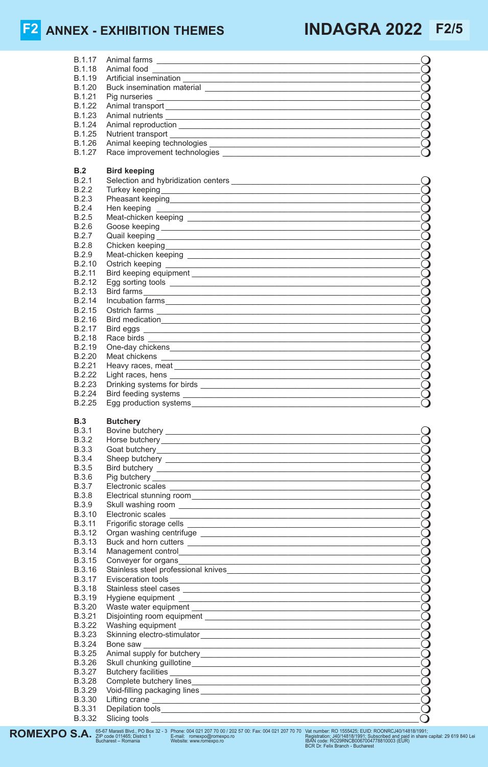| B.1.17           | Animal farms                                                                                                                                                                                                                           |            |
|------------------|----------------------------------------------------------------------------------------------------------------------------------------------------------------------------------------------------------------------------------------|------------|
| <b>B.1.18</b>    | Animal food                                                                                                                                                                                                                            |            |
|                  |                                                                                                                                                                                                                                        |            |
| B.1.19           |                                                                                                                                                                                                                                        |            |
| B.1.20           |                                                                                                                                                                                                                                        |            |
| <b>B.1.21</b>    | Pig nurseries <u>experience</u> and the contract of the contract of the contract of the contract of the contract of the contract of the contract of the contract of the contract of the contract of the contract of the contract of    | $\bigcirc$ |
| B.1.22           | Animal transport                                                                                                                                                                                                                       |            |
| <b>B.1.23</b>    |                                                                                                                                                                                                                                        | $\bigcirc$ |
| <b>B.1.24</b>    |                                                                                                                                                                                                                                        | $\bigcirc$ |
| <b>B.1.25</b>    |                                                                                                                                                                                                                                        |            |
| B.1.26           |                                                                                                                                                                                                                                        |            |
|                  |                                                                                                                                                                                                                                        |            |
| B.1.27           |                                                                                                                                                                                                                                        |            |
|                  |                                                                                                                                                                                                                                        |            |
| B.2              | <b>Bird keeping</b>                                                                                                                                                                                                                    |            |
| B.2.1            |                                                                                                                                                                                                                                        |            |
| B.2.2            |                                                                                                                                                                                                                                        |            |
| <b>B.2.3</b>     |                                                                                                                                                                                                                                        |            |
| B.2.4            | Hen keeping<br><u> Alexandria de la contrada de la contrada de la contrada de la contrada de la contrada de la contrada de la c</u>                                                                                                    |            |
| <b>B.2.5</b>     |                                                                                                                                                                                                                                        |            |
| B.2.6            |                                                                                                                                                                                                                                        |            |
| B.2.7            |                                                                                                                                                                                                                                        |            |
|                  |                                                                                                                                                                                                                                        | $\bigcirc$ |
| <b>B.2.8</b>     |                                                                                                                                                                                                                                        | $\bigcirc$ |
| <b>B.2.9</b>     |                                                                                                                                                                                                                                        | $\bigcap$  |
| B.2.10           | Ostrich keeping<br><u> and a second contract of the second contract of the second contract of the second contract of the second contract of the second contract of the second contract of the second contract of the second contra</u> |            |
| B.2.11           |                                                                                                                                                                                                                                        | $\bigcirc$ |
| B.2.12           |                                                                                                                                                                                                                                        | $\bigcirc$ |
| B.2.13           |                                                                                                                                                                                                                                        |            |
| B.2.14           |                                                                                                                                                                                                                                        | $\bigcirc$ |
|                  |                                                                                                                                                                                                                                        |            |
| <b>B.2.15</b>    |                                                                                                                                                                                                                                        | $\bigcap$  |
| B.2.16           |                                                                                                                                                                                                                                        |            |
| B.2.17           |                                                                                                                                                                                                                                        | $\bigcirc$ |
| B.2.18           |                                                                                                                                                                                                                                        |            |
| B.2.19           |                                                                                                                                                                                                                                        |            |
| <b>B.2.20</b>    |                                                                                                                                                                                                                                        |            |
| B.2.21           | Heavy races, meat                                                                                                                                                                                                                      |            |
| B.2.22           |                                                                                                                                                                                                                                        |            |
| B.2.23           |                                                                                                                                                                                                                                        |            |
|                  |                                                                                                                                                                                                                                        |            |
|                  |                                                                                                                                                                                                                                        |            |
| <b>B.2.24</b>    |                                                                                                                                                                                                                                        |            |
| B.2.25           |                                                                                                                                                                                                                                        |            |
|                  |                                                                                                                                                                                                                                        |            |
| <b>B.3</b>       | <b>Butchery</b>                                                                                                                                                                                                                        |            |
| <b>B.3.1</b>     |                                                                                                                                                                                                                                        |            |
| <b>B.3.2</b>     |                                                                                                                                                                                                                                        |            |
|                  |                                                                                                                                                                                                                                        |            |
| <b>B.3.3</b>     |                                                                                                                                                                                                                                        |            |
| <b>B.3.4</b>     |                                                                                                                                                                                                                                        |            |
| <b>B.3.5</b>     |                                                                                                                                                                                                                                        |            |
| <b>B.3.6</b>     |                                                                                                                                                                                                                                        |            |
| <b>B.3.7</b>     |                                                                                                                                                                                                                                        |            |
| <b>B.3.8</b>     |                                                                                                                                                                                                                                        |            |
| <b>B.3.9</b>     |                                                                                                                                                                                                                                        | $\bigcirc$ |
| B.3.10           |                                                                                                                                                                                                                                        | $\bigcirc$ |
| B.3.11           |                                                                                                                                                                                                                                        |            |
|                  |                                                                                                                                                                                                                                        |            |
| B.3.12           |                                                                                                                                                                                                                                        |            |
| B.3.13           |                                                                                                                                                                                                                                        | $\bigcirc$ |
| B.3.14           |                                                                                                                                                                                                                                        | $\bigcirc$ |
| B.3.15           |                                                                                                                                                                                                                                        |            |
| B.3.16           | Stainless steel professional knives                                                                                                                                                                                                    | $\bar{O}$  |
| B.3.17           |                                                                                                                                                                                                                                        | $\bigcirc$ |
| <b>B.3.18</b>    |                                                                                                                                                                                                                                        |            |
| B.3.19           |                                                                                                                                                                                                                                        |            |
| <b>B.3.20</b>    |                                                                                                                                                                                                                                        | $\bigcirc$ |
|                  |                                                                                                                                                                                                                                        |            |
| B.3.21           |                                                                                                                                                                                                                                        |            |
| B.3.22           |                                                                                                                                                                                                                                        | Ó          |
| <b>B.3.23</b>    |                                                                                                                                                                                                                                        | $\bigcirc$ |
| B.3.24           |                                                                                                                                                                                                                                        |            |
| <b>B.3.25</b>    |                                                                                                                                                                                                                                        |            |
| B.3.26           | Skull chunking guillotine <b>contained a manufacture of the container and container</b>                                                                                                                                                |            |
| B.3.27           |                                                                                                                                                                                                                                        |            |
| <b>B.3.28</b>    |                                                                                                                                                                                                                                        |            |
| B.3.29           |                                                                                                                                                                                                                                        |            |
|                  | Void-filling packaging lines _________________                                                                                                                                                                                         |            |
| B.3.30           |                                                                                                                                                                                                                                        |            |
| B.3.31<br>B.3.32 |                                                                                                                                                                                                                                        |            |



Phone: 004 021 207 70 00 / 202 57 00: Fax: 004 021 207 70 70 E-mail: romexpo@romexpo.ro Website: www.romexpo.ro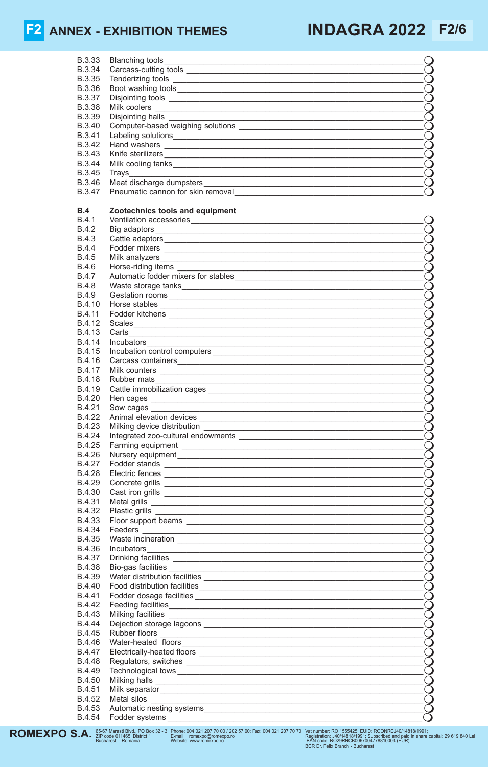| <b>B.3.33</b>           |                                                                                                                                                                                                                                      |                          |
|-------------------------|--------------------------------------------------------------------------------------------------------------------------------------------------------------------------------------------------------------------------------------|--------------------------|
| B.3.34                  |                                                                                                                                                                                                                                      |                          |
| <b>B.3.35</b>           |                                                                                                                                                                                                                                      |                          |
| B.3.36                  |                                                                                                                                                                                                                                      |                          |
| B.3.37                  |                                                                                                                                                                                                                                      |                          |
| <b>B.3.38</b><br>B.3.39 |                                                                                                                                                                                                                                      | $\bigcirc$               |
| B.3.40                  |                                                                                                                                                                                                                                      |                          |
| B.3.41                  |                                                                                                                                                                                                                                      |                          |
| B.3.42                  |                                                                                                                                                                                                                                      |                          |
| B.3.43                  |                                                                                                                                                                                                                                      |                          |
| B.3.44                  |                                                                                                                                                                                                                                      |                          |
| <b>B.3.45</b>           |                                                                                                                                                                                                                                      |                          |
| B.3.46<br>B.3.47        | Meat discharge dumpsters                                                                                                                                                                                                             |                          |
|                         | Pneumatic cannon for skin removal example and the state of the state of the state of the state of the state of                                                                                                                       |                          |
| B.4                     | Zootechnics tools and equipment                                                                                                                                                                                                      |                          |
| <b>B.4.1</b>            |                                                                                                                                                                                                                                      |                          |
| <b>B.4.2</b>            |                                                                                                                                                                                                                                      |                          |
| <b>B.4.3</b>            |                                                                                                                                                                                                                                      |                          |
| <b>B.4.4</b>            | Fodder mixers <b>contract to the contract of the contract of the contract of the contract of the contract of the contract of the contract of the contract of the contract of the contract of the contract of the contract of the</b> |                          |
| <b>B.4.5</b>            | Milk analyzers<br><u> 1980 - Andrea Santa Alemania, amerikana amerikana amerikana amerikana amerikana amerikana amerikana amerikan</u>                                                                                               |                          |
| B.4.6<br><b>B.4.7</b>   |                                                                                                                                                                                                                                      | О                        |
| <b>B.4.8</b>            |                                                                                                                                                                                                                                      |                          |
| <b>B.4.9</b>            |                                                                                                                                                                                                                                      |                          |
| <b>B.4.10</b>           |                                                                                                                                                                                                                                      |                          |
| <b>B.4.11</b>           |                                                                                                                                                                                                                                      |                          |
| B.4.12                  |                                                                                                                                                                                                                                      |                          |
| <b>B.4.13</b>           |                                                                                                                                                                                                                                      |                          |
| <b>B.4.14</b>           | Incubators                                                                                                                                                                                                                           |                          |
| <b>B.4.15</b>           |                                                                                                                                                                                                                                      |                          |
| B.4.16<br>B.4.17        | Carcass containers <b>Carcass</b>                                                                                                                                                                                                    |                          |
| <b>B.4.18</b>           | Milk counters ___________________<br>Rubber mats                                                                                                                                                                                     |                          |
| B.4.19                  | <u> 1980 - Jan Sterling, mars and de la population de la population de la population de la population de la popula</u>                                                                                                               |                          |
| <b>B.4.20</b>           | Hen cages <u>experience</u> and the case of the case of the case of the case of the case of the case of the case of the case of the case of the case of the case of the case of the case of the case of the case of the case of the  |                          |
| B.4.21                  |                                                                                                                                                                                                                                      |                          |
| B.4.22                  |                                                                                                                                                                                                                                      |                          |
| B.4.23                  |                                                                                                                                                                                                                                      | $\overline{\phantom{a}}$ |
| <b>B.4.24</b>           |                                                                                                                                                                                                                                      |                          |
| <b>B.4.25</b><br>B.4.26 |                                                                                                                                                                                                                                      |                          |
| B.4.27                  |                                                                                                                                                                                                                                      |                          |
| <b>B.4.28</b>           |                                                                                                                                                                                                                                      | $\bigcirc$               |
| B.4.29                  |                                                                                                                                                                                                                                      | $(\ )$                   |
| <b>B.4.30</b>           |                                                                                                                                                                                                                                      |                          |
| B.4.31                  |                                                                                                                                                                                                                                      |                          |
| B.4.32                  |                                                                                                                                                                                                                                      |                          |
| B.4.33                  |                                                                                                                                                                                                                                      |                          |
| <b>B.4.34</b><br>B.4.35 |                                                                                                                                                                                                                                      | $\bigcirc$               |
| B.4.36                  |                                                                                                                                                                                                                                      |                          |
| B.4.37                  | Incubators experience and the set of the set of the set of the set of the set of the set of the set of the set of the set of the set of the set of the set of the set of the set of the set of the set of the set of the set o       | $\left(\ \right)$        |
| <b>B.4.38</b>           |                                                                                                                                                                                                                                      |                          |
| <b>B.4.39</b>           |                                                                                                                                                                                                                                      | $\bigcirc$               |
| <b>B.4.40</b>           |                                                                                                                                                                                                                                      |                          |
| B.4.41                  |                                                                                                                                                                                                                                      |                          |
| B.4.42<br>B.4.43        | Feeding facilities <b>contained to the contract of the contract of the contract of the contract of the contract of the contract of the contract of the contract of the contract of the contract of the contract of the contract </b> |                          |
| <b>B.4.44</b>           |                                                                                                                                                                                                                                      |                          |
| <b>B.4.45</b>           |                                                                                                                                                                                                                                      | $\bigcirc$               |
| B.4.46                  |                                                                                                                                                                                                                                      |                          |
| <b>B.4.47</b>           |                                                                                                                                                                                                                                      |                          |
| <b>B.4.48</b>           |                                                                                                                                                                                                                                      |                          |
| B.4.49                  |                                                                                                                                                                                                                                      |                          |
| <b>B.4.50</b>           |                                                                                                                                                                                                                                      |                          |
| B.4.51                  |                                                                                                                                                                                                                                      |                          |
| B.4.52<br>B.4.53        | Metal silos                                                                                                                                                                                                                          |                          |
| B.4.54                  | Fodder systems <b>contract to the contract of the contract of the contract of the contract of the contract of the contract of the contract of the contract of the contract of the contract of the contract of the contract of th</b> |                          |
|                         |                                                                                                                                                                                                                                      |                          |



Phone: 004 021 207 70 00 / 202 57 00: Fax: 004 021 207 70 70 E-mail: romexpo@romexpo.ro Website: www.romexpo.ro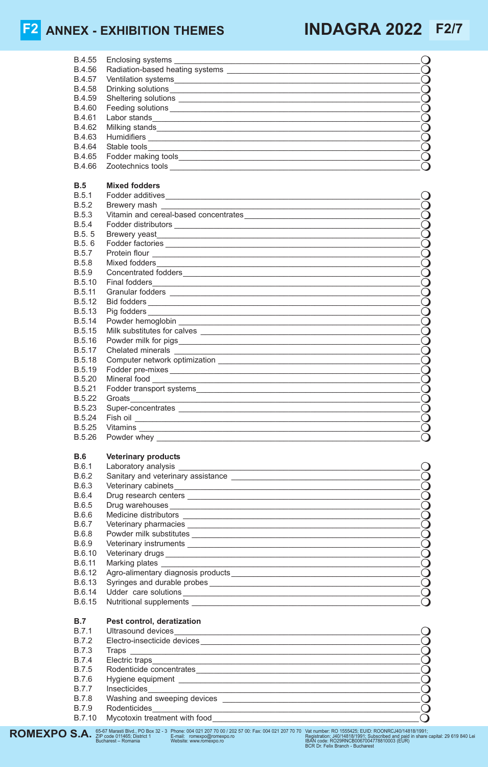| B.4.55              | <b>Enclosing systems</b>                                                                                                                                                                                                             |                          |
|---------------------|--------------------------------------------------------------------------------------------------------------------------------------------------------------------------------------------------------------------------------------|--------------------------|
| B.4.56              |                                                                                                                                                                                                                                      |                          |
| B.4.57              |                                                                                                                                                                                                                                      |                          |
| B.4.58              |                                                                                                                                                                                                                                      |                          |
| B.4.59              |                                                                                                                                                                                                                                      |                          |
| B.4.60              |                                                                                                                                                                                                                                      | $\bigcirc$               |
| B.4.61              |                                                                                                                                                                                                                                      | $\bigcirc$               |
| B.4.62              |                                                                                                                                                                                                                                      |                          |
| B.4.63              |                                                                                                                                                                                                                                      |                          |
| B.4.64              | Stable tools <b>with a contract of the contract of the contract of the contract of the contract of the contract of the contract of the contract of the contract of the contract of the contract of the contract of the contract </b> |                          |
| B.4.65              |                                                                                                                                                                                                                                      |                          |
| B.4.66              |                                                                                                                                                                                                                                      |                          |
| B.5                 | <b>Mixed fodders</b>                                                                                                                                                                                                                 |                          |
| B.5.1               |                                                                                                                                                                                                                                      |                          |
| B.5.2               | Brewery mash                                                                                                                                                                                                                         |                          |
| <b>B.5.3</b>        |                                                                                                                                                                                                                                      |                          |
| <b>B.5.4</b>        |                                                                                                                                                                                                                                      |                          |
| B.5.5               |                                                                                                                                                                                                                                      |                          |
| B.5.6               |                                                                                                                                                                                                                                      |                          |
| <b>B.5.7</b>        |                                                                                                                                                                                                                                      |                          |
| <b>B.5.8</b>        |                                                                                                                                                                                                                                      | $\bigcirc$               |
| B.5.9               |                                                                                                                                                                                                                                      |                          |
| B.5.10<br>B.5.11    |                                                                                                                                                                                                                                      |                          |
| B.5.12              |                                                                                                                                                                                                                                      | $\bigcirc$               |
| B.5.13              |                                                                                                                                                                                                                                      |                          |
| B.5.14              |                                                                                                                                                                                                                                      |                          |
| B.5.15              |                                                                                                                                                                                                                                      |                          |
| B.5.16              |                                                                                                                                                                                                                                      | $\bigcirc$               |
| B.5.17              |                                                                                                                                                                                                                                      |                          |
| B.5.18              |                                                                                                                                                                                                                                      |                          |
| B.5.19              |                                                                                                                                                                                                                                      |                          |
| B.5.20              |                                                                                                                                                                                                                                      |                          |
| B.5.21              |                                                                                                                                                                                                                                      | $\bigcup$                |
| B.5.22              |                                                                                                                                                                                                                                      | $\bigcirc$               |
| B.5.23              |                                                                                                                                                                                                                                      | $\bigcap$                |
| B.5.24              |                                                                                                                                                                                                                                      | $\bigcirc$               |
| B.5.25              |                                                                                                                                                                                                                                      |                          |
| B.5.26              |                                                                                                                                                                                                                                      |                          |
| <b>B.6</b>          | <b>Veterinary products</b>                                                                                                                                                                                                           |                          |
| B.6.1               | Laboratory analysis                                                                                                                                                                                                                  |                          |
| B.6.2               |                                                                                                                                                                                                                                      |                          |
| B.6.3               |                                                                                                                                                                                                                                      |                          |
| B.6.4               |                                                                                                                                                                                                                                      | $\bigcirc$               |
| B.6.5               |                                                                                                                                                                                                                                      | $\bigcirc$               |
| B.6.6               |                                                                                                                                                                                                                                      | $\bigcirc$               |
| B.6.7               |                                                                                                                                                                                                                                      | $\bigcirc$               |
| B.6.8               |                                                                                                                                                                                                                                      | $\bigcirc$               |
| B.6.9               |                                                                                                                                                                                                                                      | $\bigcirc$               |
| B.6.10<br>B.6.11    |                                                                                                                                                                                                                                      | $\bigcirc$               |
| B.6.12              |                                                                                                                                                                                                                                      | $\bigcirc$               |
| B.6.13              |                                                                                                                                                                                                                                      | $\bigcirc$<br>$\bigcirc$ |
| B.6.14              |                                                                                                                                                                                                                                      |                          |
| B.6.15              |                                                                                                                                                                                                                                      |                          |
|                     |                                                                                                                                                                                                                                      |                          |
| <b>B.7</b><br>B.7.1 | Pest control, deratization                                                                                                                                                                                                           |                          |
|                     |                                                                                                                                                                                                                                      |                          |
| B.7.2<br>B.7.3      |                                                                                                                                                                                                                                      |                          |
| <b>B.7.4</b>        |                                                                                                                                                                                                                                      |                          |
| B.7.5               |                                                                                                                                                                                                                                      | $\bigcirc$               |
| B.7.6               | Rodenticide concentrates                                                                                                                                                                                                             |                          |
| B.7.7               | Insecticides                                                                                                                                                                                                                         |                          |
| B.7.8               | Washing and sweeping devices <b>Example 20</b> No 2014 19:30                                                                                                                                                                         |                          |
| B.7.9               | Rodenticides                                                                                                                                                                                                                         |                          |
|                     |                                                                                                                                                                                                                                      |                          |

B.7.10 Mycotoxin treatment with food\_\_\_\_\_\_\_\_\_\_\_\_\_\_\_\_\_\_\_\_\_\_\_\_\_\_\_\_\_\_\_\_\_\_\_\_\_\_\_\_\_\_\_\_\_\_\_m



Phone: 004 021 207 70 00 / 202 57 00: Fax: 004 021 207 70 70 E-mail: romexpo@romexpo.ro Website: www.romexpo.ro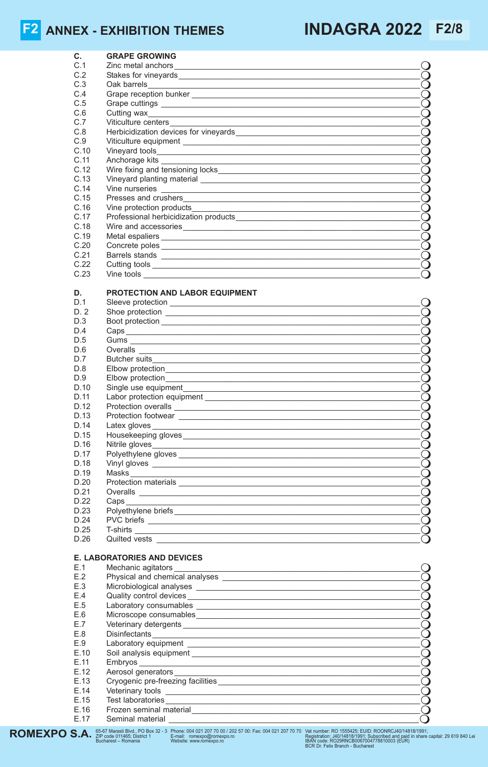**C. GRAPE GROWING**

| C.1  | Zinc metal anchors |  |
|------|--------------------|--|
| C.2  |                    |  |
| C.3  |                    |  |
| C.4  |                    |  |
| C.5  |                    |  |
| C.6  |                    |  |
| C.7  |                    |  |
| C.8  |                    |  |
| C.9  |                    |  |
| C.10 |                    |  |
| C.11 |                    |  |
| C.12 |                    |  |
| C.13 |                    |  |
| C.14 |                    |  |
| C.15 |                    |  |
| C.16 |                    |  |
| C.17 |                    |  |
| C.18 |                    |  |
| C.19 |                    |  |
| C.20 |                    |  |
| C.21 |                    |  |
| C.22 |                    |  |
| C.23 |                    |  |
|      |                    |  |

### **D. PROTECTION AND LABOR EQUIPMENT**

| D <sub>1</sub> |                                                                                                                |  |
|----------------|----------------------------------------------------------------------------------------------------------------|--|
| D.2            | Shoe protection entertainment of the state of the state of the state of the state of the state of the state of |  |
| D.3            |                                                                                                                |  |
| D.4            |                                                                                                                |  |
| D.5            |                                                                                                                |  |
| D.6            |                                                                                                                |  |
| D.7            |                                                                                                                |  |
| D.8            |                                                                                                                |  |
| D.9            |                                                                                                                |  |
| D.10           |                                                                                                                |  |
| D.11           |                                                                                                                |  |
| D.12           |                                                                                                                |  |
| D.13           |                                                                                                                |  |
| D.14           | Latex gloves                                                                                                   |  |
| D.15           |                                                                                                                |  |
| D.16           | Nitrile gloves                                                                                                 |  |
| D.17           |                                                                                                                |  |
| D.18           |                                                                                                                |  |
| D.19           |                                                                                                                |  |
| D.20           |                                                                                                                |  |
| D.21           |                                                                                                                |  |
| D.22           |                                                                                                                |  |
| D.23           |                                                                                                                |  |
| D.24           |                                                                                                                |  |
| D.25           |                                                                                                                |  |
| D.26           | Quilted vests ____________________                                                                             |  |

### **E. LABORATORIES AND DEVICES**

| E.1  | Mechanic agitators                |  |
|------|-----------------------------------|--|
| E.2  | Physical and chemical analyses    |  |
| E.3  | Microbiological analyses          |  |
| E.4  | Quality control devices           |  |
| E.5  | Laboratory consumables            |  |
| E.6  | Microscope consumables            |  |
| E.7  | Veterinary detergents             |  |
| E.8  | <b>Disinfectants</b>              |  |
| E.9  | Laboratory equipment _            |  |
| E.10 | Soil analysis equipment           |  |
| E.11 | Embryos                           |  |
| E.12 | Aerosol generators                |  |
| E.13 | Cryogenic pre-freezing facilities |  |
| E.14 | Veterinary tools                  |  |
| E.15 | <b>Test laboratories</b>          |  |
| E.16 | Frozen seminal material           |  |
| E.17 | Seminal material                  |  |